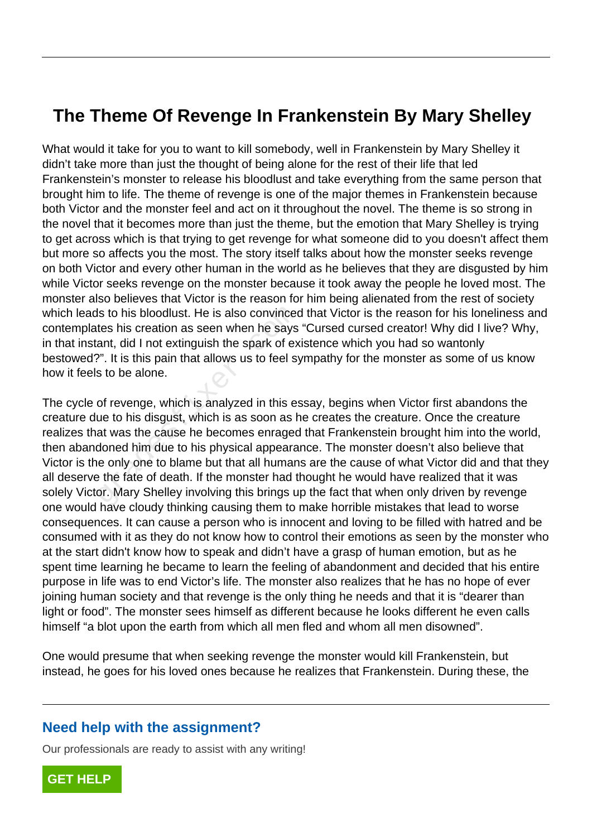## **The Theme Of Revenge In Frankenstein By Mary Shelley**

What would it take for you to want to kill somebody, well in Frankenstein by Mary Shelley it didn't take more than just the thought of being alone for the rest of their life that led Frankenstein's monster to release his bloodlust and take everything from the same person that brought him to life. The theme of revenge is one of the major themes in Frankenstein because both Victor and the monster feel and act on it throughout the novel. The theme is so strong in the novel that it becomes more than just the theme, but the emotion that Mary Shelley is trying to get across which is that trying to get revenge for what someone did to you doesn't affect them but more so affects you the most. The story itself talks about how the monster seeks revenge on both Victor and every other human in the world as he believes that they are disgusted by him while Victor seeks revenge on the monster because it took away the people he loved most. The monster also believes that Victor is the reason for him being alienated from the rest of society which leads to his bloodlust. He is also convinced that Victor is the reason for his loneliness and contemplates his creation as seen when he says "Cursed cursed creator! Why did I live? Why, in that instant, did I not extinguish the spark of existence which you had so wantonly bestowed?". It is this pain that allows us to feel sympathy for the monster as some of us know how it feels to be alone.

The cycle of revenge, which is analyzed in this essay, begins when Victor first abandons the creature due to his disgust, which is as soon as he creates the creature. Once the creature realizes that was the cause he becomes enraged that Frankenstein brought him into the world, then abandoned him due to his physical appearance. The monster doesn't also believe that Victor is the only one to blame but that all humans are the cause of what Victor did and that they all deserve the fate of death. If the monster had thought he would have realized that it was solely Victor. Mary Shelley involving this brings up the fact that when only driven by revenge one would have cloudy thinking causing them to make horrible mistakes that lead to worse consequences. It can cause a person who is innocent and loving to be filled with hatred and be consumed with it as they do not know how to control their emotions as seen by the monster who at the start didn't know how to speak and didn't have a grasp of human emotion, but as he spent time learning he became to learn the feeling of abandonment and decided that his entire purpose in life was to end Victor's life. The monster also realizes that he has no hope of ever joining human society and that revenge is the only thing he needs and that it is "dearer than light or food". The monster sees himself as different because he looks different he even calls himself "a blot upon the earth from which all men fled and whom all men disowned". Is to his bloodlust. He is also convinced<br>tes his creation as seen when he says<br>ant, did I not extinguish the spark of ex<br>?". It is this pain that allows us to feel sy<br>s to be alone.<br>of revenge, which is analyzed in this e

One would presume that when seeking revenge the monster would kill Frankenstein, but instead, he goes for his loved ones because he realizes that Frankenstein. During these, the

## **Need help with the assignment?**

Our professionals are ready to assist with any writing!

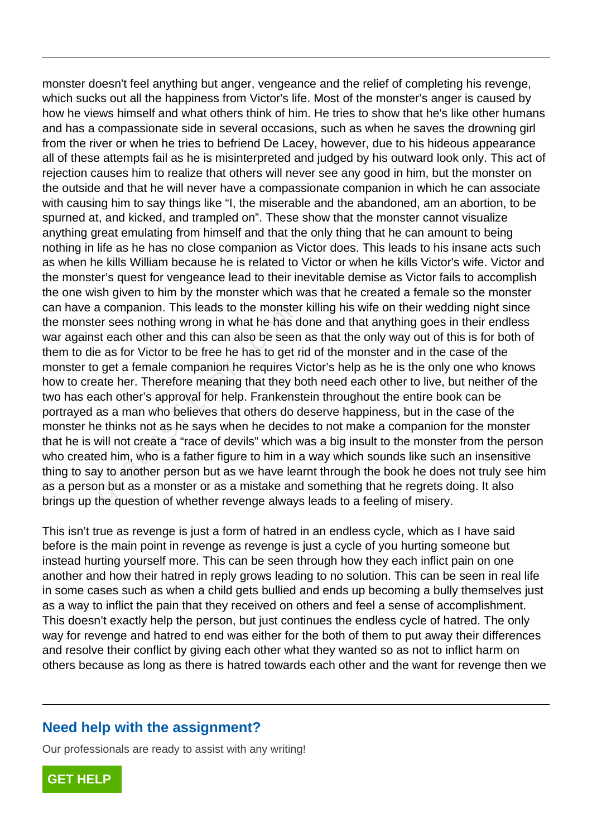monster doesn't feel anything but anger, vengeance and the relief of completing his revenge, which sucks out all the happiness from Victor's life. Most of the monster's anger is caused by how he views himself and what others think of him. He tries to show that he's like other humans and has a compassionate side in several occasions, such as when he saves the drowning girl from the river or when he tries to befriend De Lacey, however, due to his hideous appearance all of these attempts fail as he is misinterpreted and judged by his outward look only. This act of rejection causes him to realize that others will never see any good in him, but the monster on the outside and that he will never have a compassionate companion in which he can associate with causing him to say things like "I, the miserable and the abandoned, am an abortion, to be spurned at, and kicked, and trampled on". These show that the monster cannot visualize anything great emulating from himself and that the only thing that he can amount to being nothing in life as he has no close companion as Victor does. This leads to his insane acts such as when he kills William because he is related to Victor or when he kills Victor's wife. Victor and the monster's quest for vengeance lead to their inevitable demise as Victor fails to accomplish the one wish given to him by the monster which was that he created a female so the monster can have a companion. This leads to the monster killing his wife on their wedding night since the monster sees nothing wrong in what he has done and that anything goes in their endless war against each other and this can also be seen as that the only way out of this is for both of them to die as for Victor to be free he has to get rid of the monster and in the case of the monster to get a female companion he requires Victor's help as he is the only one who knows how to create her. Therefore meaning that they both need each other to live, but neither of the two has each other's approval for help. Frankenstein throughout the entire book can be portrayed as a man who believes that others do deserve happiness, but in the case of the monster he thinks not as he says when he decides to not make a companion for the monster that he is will not create a "race of devils" which was a big insult to the monster from the person who created him, who is a father figure to him in a way which sounds like such an insensitive thing to say to another person but as we have learnt through the book he does not truly see him as a person but as a monster or as a mistake and something that he regrets doing. It also brings up the question of whether revenge always leads to a feeling of misery. a companion. This leads to the monster<br>ar sees nothing wrong in what he has c<br>st each other and this can also be seen<br>a as for Victor to be free he has to get r<br>of get a female companion he requires \<br>ate her. Therefore me

This isn't true as revenge is just a form of hatred in an endless cycle, which as I have said before is the main point in revenge as revenge is just a cycle of you hurting someone but instead hurting yourself more. This can be seen through how they each inflict pain on one another and how their hatred in reply grows leading to no solution. This can be seen in real life in some cases such as when a child gets bullied and ends up becoming a bully themselves just as a way to inflict the pain that they received on others and feel a sense of accomplishment. This doesn't exactly help the person, but just continues the endless cycle of hatred. The only way for revenge and hatred to end was either for the both of them to put away their differences and resolve their conflict by giving each other what they wanted so as not to inflict harm on others because as long as there is hatred towards each other and the want for revenge then we

## **Need help with the assignment?**

Our professionals are ready to assist with any writing!

**[GET HELP](https://my.gradesfixer.com/order?utm_campaign=pdf_sample)**